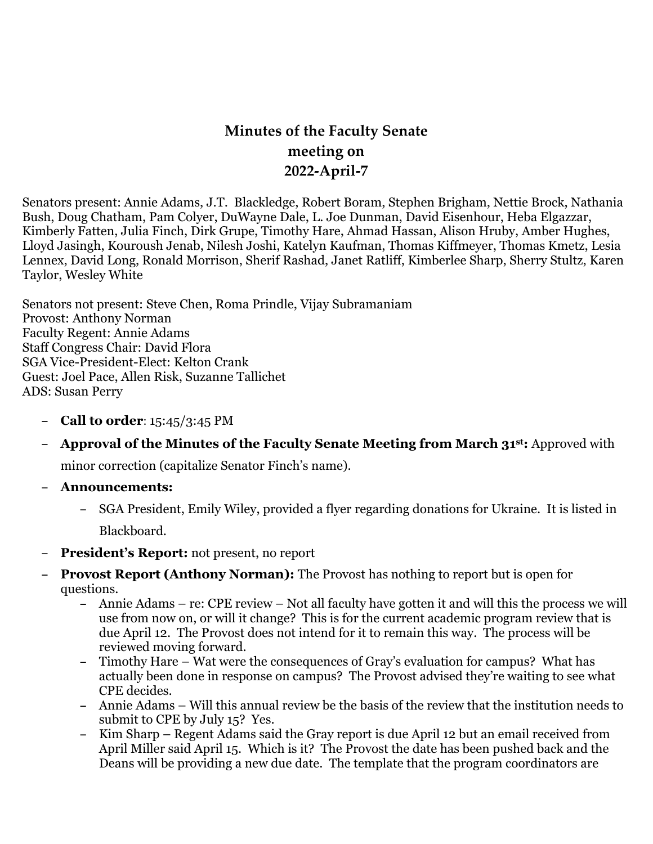## **Minutes of the Faculty Senate meeting on 2022-April-7**

Senators present: Annie Adams, J.T. Blackledge, Robert Boram, Stephen Brigham, Nettie Brock, Nathania Bush, Doug Chatham, Pam Colyer, DuWayne Dale, L. Joe Dunman, David Eisenhour, Heba Elgazzar, Kimberly Fatten, Julia Finch, Dirk Grupe, Timothy Hare, Ahmad Hassan, Alison Hruby, Amber Hughes, Lloyd Jasingh, Kouroush Jenab, Nilesh Joshi, Katelyn Kaufman, Thomas Kiffmeyer, Thomas Kmetz, Lesia Lennex, David Long, Ronald Morrison, Sherif Rashad, Janet Ratliff, Kimberlee Sharp, Sherry Stultz, Karen Taylor, Wesley White

Senators not present: Steve Chen, Roma Prindle, Vijay Subramaniam Provost: Anthony Norman Faculty Regent: Annie Adams Staff Congress Chair: David Flora SGA Vice-President-Elect: Kelton Crank Guest: Joel Pace, Allen Risk, Suzanne Tallichet ADS: Susan Perry

- **– Call to order**: 15:45/3:45 PM
- **– Approval of the Minutes of the Faculty Senate Meeting from March 31st:** Approved with

minor correction (capitalize Senator Finch's name).

- **– Announcements:**
	- **–** SGA President, Emily Wiley, provided a flyer regarding donations for Ukraine. It is listed in Blackboard.
- **– President's Report:** not present, no report
- **– Provost Report (Anthony Norman):** The Provost has nothing to report but is open for questions.
	- **–** Annie Adams re: CPE review Not all faculty have gotten it and will this the process we will use from now on, or will it change? This is for the current academic program review that is due April 12. The Provost does not intend for it to remain this way. The process will be reviewed moving forward.
	- **–** Timothy Hare Wat were the consequences of Gray's evaluation for campus? What has actually been done in response on campus? The Provost advised they're waiting to see what CPE decides.
	- **–** Annie Adams Will this annual review be the basis of the review that the institution needs to submit to CPE by July 15? Yes.
	- **–** Kim Sharp Regent Adams said the Gray report is due April 12 but an email received from April Miller said April 15. Which is it? The Provost the date has been pushed back and the Deans will be providing a new due date. The template that the program coordinators are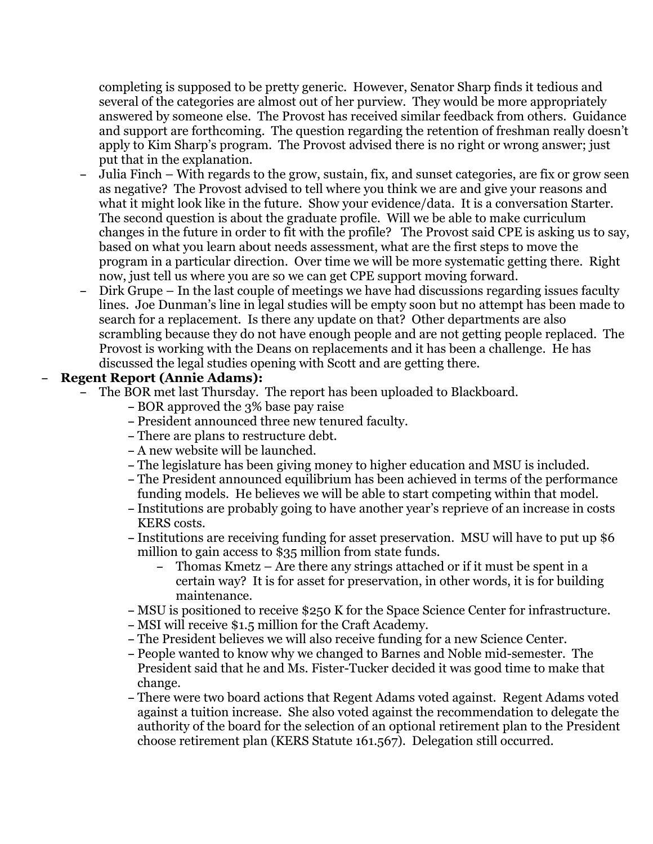completing is supposed to be pretty generic. However, Senator Sharp finds it tedious and several of the categories are almost out of her purview. They would be more appropriately answered by someone else. The Provost has received similar feedback from others. Guidance and support are forthcoming. The question regarding the retention of freshman really doesn't apply to Kim Sharp's program. The Provost advised there is no right or wrong answer; just put that in the explanation.

- **–** Julia Finch With regards to the grow, sustain, fix, and sunset categories, are fix or grow seen as negative? The Provost advised to tell where you think we are and give your reasons and what it might look like in the future. Show your evidence/data. It is a conversation Starter. The second question is about the graduate profile. Will we be able to make curriculum changes in the future in order to fit with the profile? The Provost said CPE is asking us to say, based on what you learn about needs assessment, what are the first steps to move the program in a particular direction. Over time we will be more systematic getting there. Right now, just tell us where you are so we can get CPE support moving forward.
- **–** Dirk Grupe In the last couple of meetings we have had discussions regarding issues faculty lines. Joe Dunman's line in legal studies will be empty soon but no attempt has been made to search for a replacement. Is there any update on that? Other departments are also scrambling because they do not have enough people and are not getting people replaced. The Provost is working with the Deans on replacements and it has been a challenge. He has discussed the legal studies opening with Scott and are getting there.

## **– Regent Report (Annie Adams):**

- **–** The BOR met last Thursday. The report has been uploaded to Blackboard.
	- **–** BOR approved the 3% base pay raise
	- **–** President announced three new tenured faculty.
	- **–** There are plans to restructure debt.
	- **–** A new website will be launched.
	- **–** The legislature has been giving money to higher education and MSU is included.
	- **–** The President announced equilibrium has been achieved in terms of the performance funding models. He believes we will be able to start competing within that model.
	- **–** Institutions are probably going to have another year's reprieve of an increase in costs KERS costs.
	- **–** Institutions are receiving funding for asset preservation. MSU will have to put up \$6 million to gain access to \$35 million from state funds.
		- **–** Thomas Kmetz Are there any strings attached or if it must be spent in a certain way? It is for asset for preservation, in other words, it is for building maintenance.
	- **–** MSU is positioned to receive \$250 K for the Space Science Center for infrastructure.
	- **–** MSI will receive \$1.5 million for the Craft Academy.
	- **–** The President believes we will also receive funding for a new Science Center.
	- **–** People wanted to know why we changed to Barnes and Noble mid-semester. The President said that he and Ms. Fister-Tucker decided it was good time to make that change.
	- **–** There were two board actions that Regent Adams voted against. Regent Adams voted against a tuition increase. She also voted against the recommendation to delegate the authority of the board for the selection of an optional retirement plan to the President choose retirement plan (KERS Statute 161.567). Delegation still occurred.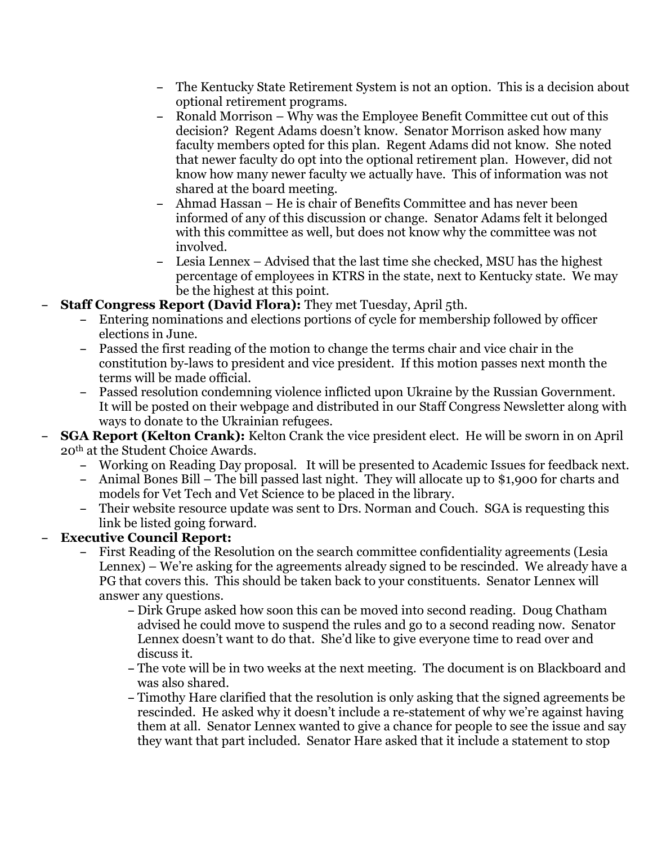- **–** The Kentucky State Retirement System is not an option. This is a decision about optional retirement programs.
- **–** Ronald Morrison Why was the Employee Benefit Committee cut out of this decision? Regent Adams doesn't know. Senator Morrison asked how many faculty members opted for this plan. Regent Adams did not know. She noted that newer faculty do opt into the optional retirement plan. However, did not know how many newer faculty we actually have. This of information was not shared at the board meeting.
- **–** Ahmad Hassan He is chair of Benefits Committee and has never been informed of any of this discussion or change. Senator Adams felt it belonged with this committee as well, but does not know why the committee was not involved.
- **–** Lesia Lennex Advised that the last time she checked, MSU has the highest percentage of employees in KTRS in the state, next to Kentucky state. We may be the highest at this point.
- **– Staff Congress Report (David Flora):** They met Tuesday, April 5th.
	- **–** Entering nominations and elections portions of cycle for membership followed by officer elections in June.
	- **–** Passed the first reading of the motion to change the terms chair and vice chair in the constitution by-laws to president and vice president. If this motion passes next month the terms will be made official.
	- **–** Passed resolution condemning violence inflicted upon Ukraine by the Russian Government. It will be posted on their webpage and distributed in our Staff Congress Newsletter along with ways to donate to the Ukrainian refugees.
- **– SGA Report (Kelton Crank):** Kelton Crank the vice president elect. He will be sworn in on April 20th at the Student Choice Awards.
	- **–** Working on Reading Day proposal. It will be presented to Academic Issues for feedback next.
	- **–** Animal Bones Bill The bill passed last night. They will allocate up to \$1,900 for charts and models for Vet Tech and Vet Science to be placed in the library.
	- **–** Their website resource update was sent to Drs. Norman and Couch. SGA is requesting this link be listed going forward.

## **– Executive Council Report:**

- **–** First Reading of the Resolution on the search committee confidentiality agreements (Lesia Lennex) – We're asking for the agreements already signed to be rescinded. We already have a PG that covers this. This should be taken back to your constituents. Senator Lennex will answer any questions.
	- **–** Dirk Grupe asked how soon this can be moved into second reading. Doug Chatham advised he could move to suspend the rules and go to a second reading now. Senator Lennex doesn't want to do that. She'd like to give everyone time to read over and discuss it.
	- **–** The vote will be in two weeks at the next meeting. The document is on Blackboard and was also shared.
	- **–** Timothy Hare clarified that the resolution is only asking that the signed agreements be rescinded. He asked why it doesn't include a re-statement of why we're against having them at all. Senator Lennex wanted to give a chance for people to see the issue and say they want that part included. Senator Hare asked that it include a statement to stop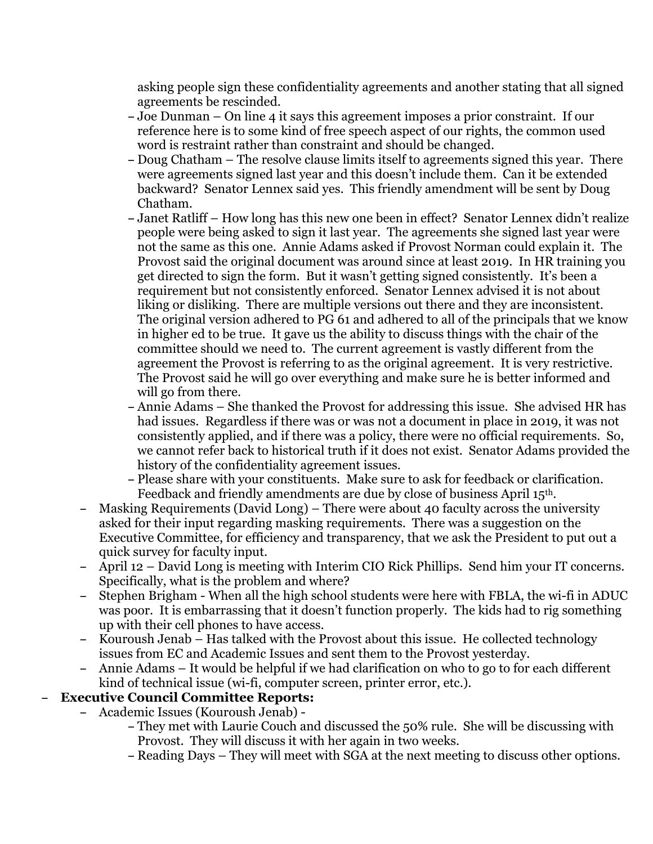asking people sign these confidentiality agreements and another stating that all signed agreements be rescinded.

- **–** Joe Dunman On line 4 it says this agreement imposes a prior constraint. If our reference here is to some kind of free speech aspect of our rights, the common used word is restraint rather than constraint and should be changed.
- **–** Doug Chatham The resolve clause limits itself to agreements signed this year. There were agreements signed last year and this doesn't include them. Can it be extended backward? Senator Lennex said yes. This friendly amendment will be sent by Doug Chatham.
- **–** Janet Ratliff How long has this new one been in effect? Senator Lennex didn't realize people were being asked to sign it last year. The agreements she signed last year were not the same as this one. Annie Adams asked if Provost Norman could explain it. The Provost said the original document was around since at least 2019. In HR training you get directed to sign the form. But it wasn't getting signed consistently. It's been a requirement but not consistently enforced. Senator Lennex advised it is not about liking or disliking. There are multiple versions out there and they are inconsistent. The original version adhered to PG 61 and adhered to all of the principals that we know in higher ed to be true. It gave us the ability to discuss things with the chair of the committee should we need to. The current agreement is vastly different from the agreement the Provost is referring to as the original agreement. It is very restrictive. The Provost said he will go over everything and make sure he is better informed and will go from there.
- **–** Annie Adams She thanked the Provost for addressing this issue. She advised HR has had issues. Regardless if there was or was not a document in place in 2019, it was not consistently applied, and if there was a policy, there were no official requirements. So, we cannot refer back to historical truth if it does not exist. Senator Adams provided the history of the confidentiality agreement issues.
- **–** Please share with your constituents. Make sure to ask for feedback or clarification. Feedback and friendly amendments are due by close of business April 15th.
- **–** Masking Requirements (David Long) There were about 40 faculty across the university asked for their input regarding masking requirements. There was a suggestion on the Executive Committee, for efficiency and transparency, that we ask the President to put out a quick survey for faculty input.
- **–** April 12 David Long is meeting with Interim CIO Rick Phillips. Send him your IT concerns. Specifically, what is the problem and where?
- **–** Stephen Brigham When all the high school students were here with FBLA, the wi-fi in ADUC was poor. It is embarrassing that it doesn't function properly. The kids had to rig something up with their cell phones to have access.
- **–** Kouroush Jenab Has talked with the Provost about this issue. He collected technology issues from EC and Academic Issues and sent them to the Provost yesterday.
- **–** Annie Adams It would be helpful if we had clarification on who to go to for each different kind of technical issue (wi-fi, computer screen, printer error, etc.).

## **– Executive Council Committee Reports:**

- **–** Academic Issues (Kouroush Jenab)
	- **–** They met with Laurie Couch and discussed the 50% rule. She will be discussing with Provost. They will discuss it with her again in two weeks.
	- **–** Reading Days They will meet with SGA at the next meeting to discuss other options.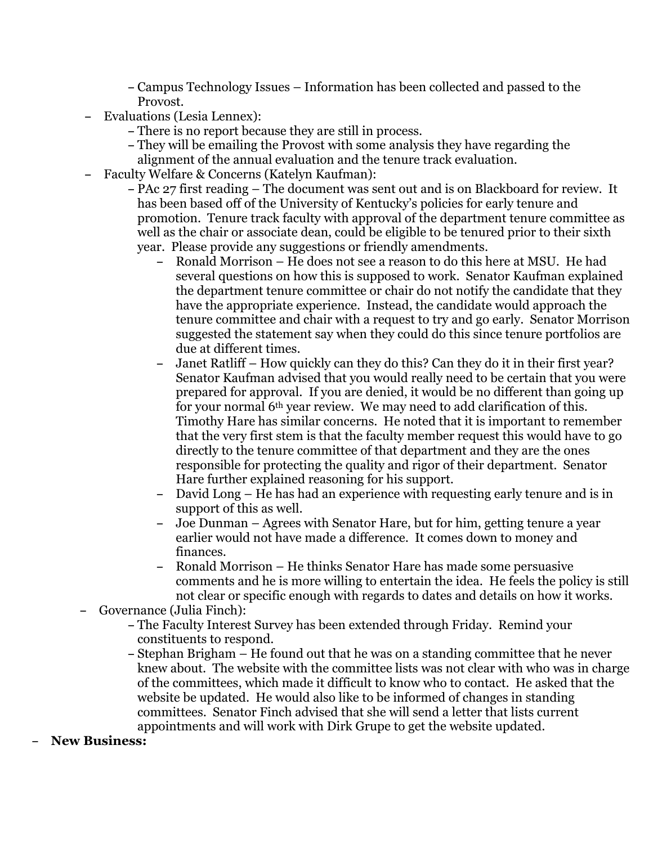**–** Campus Technology Issues – Information has been collected and passed to the Provost.

- **–** Evaluations (Lesia Lennex):
	- **–** There is no report because they are still in process.
	- **–** They will be emailing the Provost with some analysis they have regarding the alignment of the annual evaluation and the tenure track evaluation.
- **–** Faculty Welfare & Concerns (Katelyn Kaufman):
	- **–** PAc 27 first reading The document was sent out and is on Blackboard for review. It has been based off of the University of Kentucky's policies for early tenure and promotion. Tenure track faculty with approval of the department tenure committee as well as the chair or associate dean, could be eligible to be tenured prior to their sixth year. Please provide any suggestions or friendly amendments.
		- **–** Ronald Morrison He does not see a reason to do this here at MSU. He had several questions on how this is supposed to work. Senator Kaufman explained the department tenure committee or chair do not notify the candidate that they have the appropriate experience. Instead, the candidate would approach the tenure committee and chair with a request to try and go early. Senator Morrison suggested the statement say when they could do this since tenure portfolios are due at different times.
		- **–** Janet Ratliff How quickly can they do this? Can they do it in their first year? Senator Kaufman advised that you would really need to be certain that you were prepared for approval. If you are denied, it would be no different than going up for your normal 6th year review. We may need to add clarification of this. Timothy Hare has similar concerns. He noted that it is important to remember that the very first stem is that the faculty member request this would have to go directly to the tenure committee of that department and they are the ones responsible for protecting the quality and rigor of their department. Senator Hare further explained reasoning for his support.
		- **–** David Long He has had an experience with requesting early tenure and is in support of this as well.
		- **–** Joe Dunman Agrees with Senator Hare, but for him, getting tenure a year earlier would not have made a difference. It comes down to money and finances.
		- **–** Ronald Morrison He thinks Senator Hare has made some persuasive comments and he is more willing to entertain the idea. He feels the policy is still not clear or specific enough with regards to dates and details on how it works.
- **–** Governance (Julia Finch):
	- **–** The Faculty Interest Survey has been extended through Friday. Remind your constituents to respond.
	- **–** Stephan Brigham He found out that he was on a standing committee that he never knew about. The website with the committee lists was not clear with who was in charge of the committees, which made it difficult to know who to contact. He asked that the website be updated. He would also like to be informed of changes in standing committees. Senator Finch advised that she will send a letter that lists current appointments and will work with Dirk Grupe to get the website updated.
- **– New Business:**